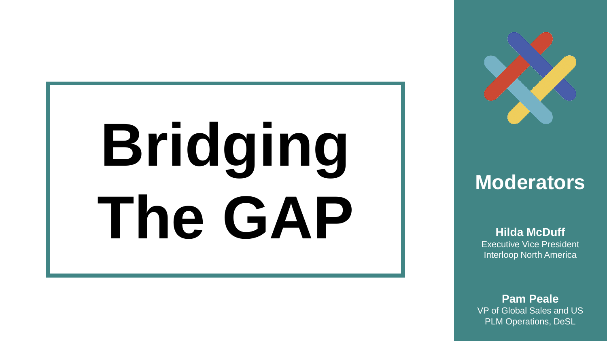# **Bridging The GAP**



#### **Moderators**

**Hilda McDuff** Executive Vice President Interloop North America

**Pam Peale** VP of Global Sales and US PLM Operations, DeSL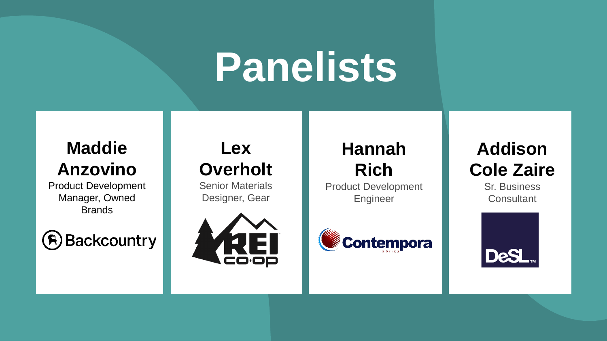# **Panelists**

#### **Maddie Anzovino**

Product Development Manager, Owned **Brands** 



### **Lex Overholt**

Senior Materials Designer, Gear



## **Hannah Rich**

Product Development Engineer



**Addison Cole Zaire**

Sr. Business **Consultant** 

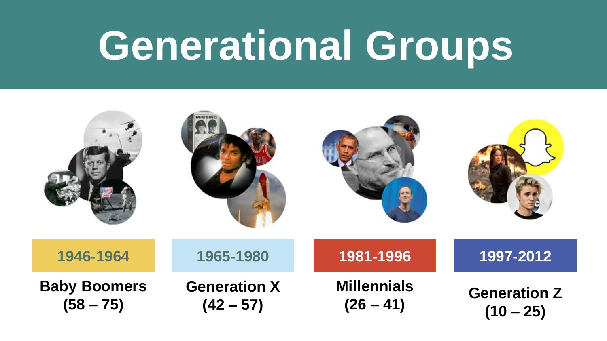# **Generational Groups**

| 1946-1964                          | 1965-1980                          | 1981-1996                         | 1997-2012                          |
|------------------------------------|------------------------------------|-----------------------------------|------------------------------------|
| <b>Baby Boomers</b><br>$(58 - 75)$ | <b>Generation X</b><br>$(42 - 57)$ | <b>Millennials</b><br>$(26 - 41)$ | <b>Generation Z</b><br>$(10 - 25)$ |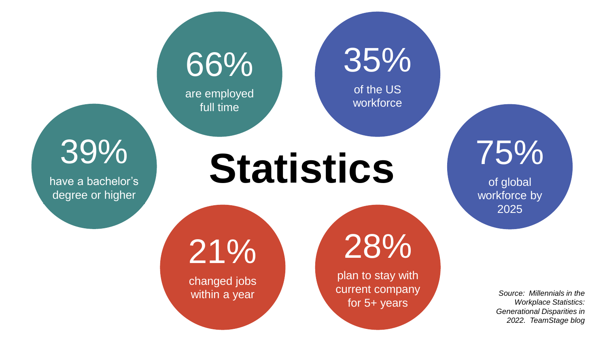35%

of the US workforce

66%

are employed full time

39%

have a bachelor's degree or higher

**Statistics**

21%

changed jobs within a year

28%

plan to stay with current company for 5+ years

75%

of global workforce by 2025

> *Source: Millennials in the Workplace Statistics: Generational Disparities in 2022. TeamStage blog*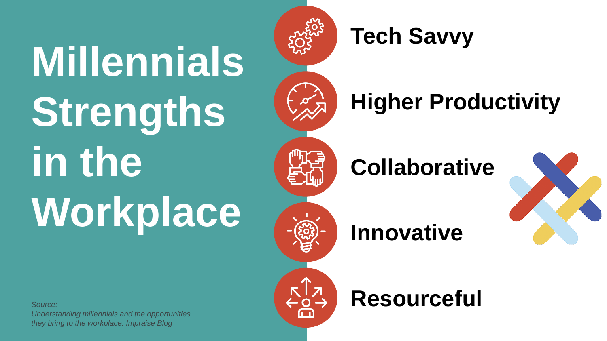# **Millennials Strengths in the Workplace**



## **Tech Savvy**

# **Higher Productivity**

# **Collaborative**



## **Innovative**



## **Resourceful**

*Source: Understanding millennials and the opportunities* 

*they bring to the workplace. Impraise Blog*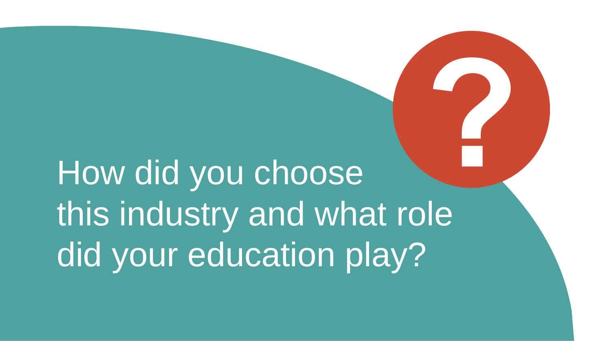# How did you choose this industry and what role did your education play?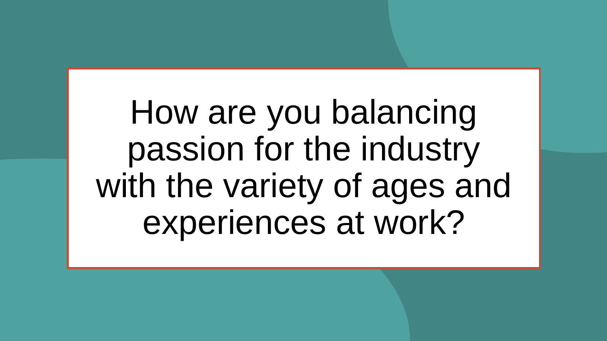How are you balancing passion for the industry with the variety of ages and experiences at work?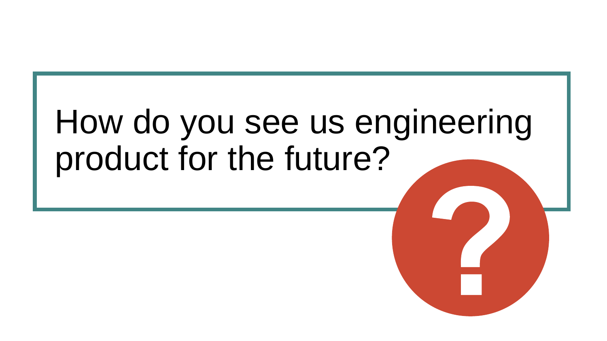# How do you see us engineering product for the future?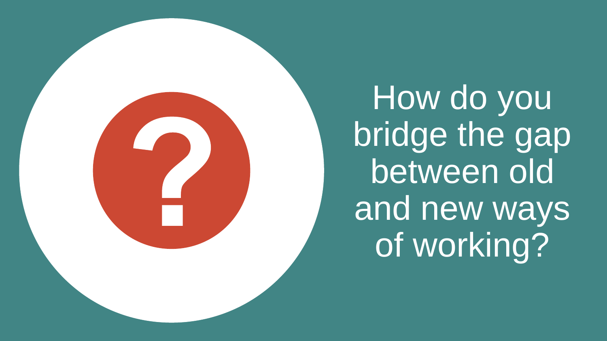How do you bridge the gap between old and new ways of working?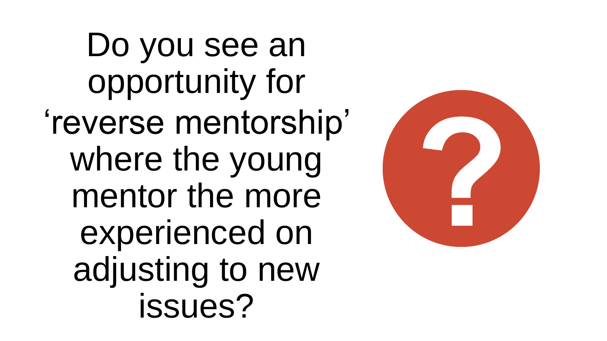Do you see an opportunity for 'reverse mentorship' where the young mentor the more experienced on adjusting to new issues?